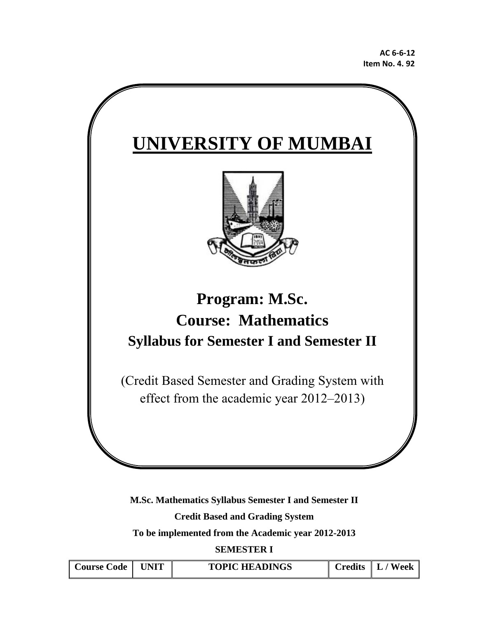

**M.Sc. Mathematics Syllabus Semester I and Semester II Credit Based and Grading System** 

**To be implemented from the Academic year 2012-2013** 

**SEMESTER I** 

| Course Code   UNIT | <b>TOPIC HEADINGS</b> | $\vert$ Credits $\vert$ L / Week |
|--------------------|-----------------------|----------------------------------|
|                    |                       |                                  |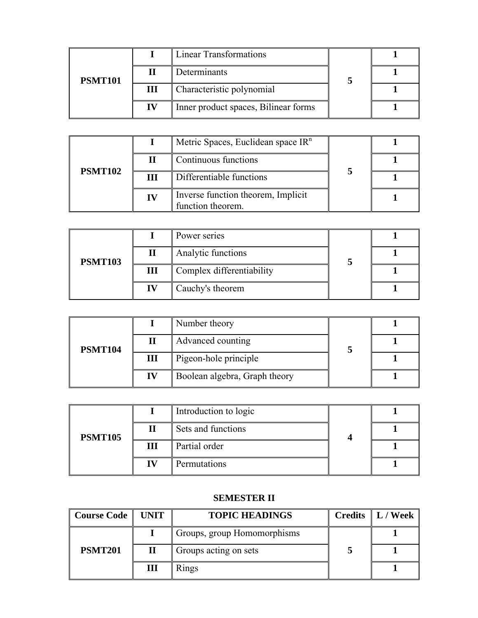| <b>PSMT101</b> |    | <b>Linear Transformations</b>        |  |
|----------------|----|--------------------------------------|--|
|                |    | Determinants                         |  |
|                | Ш  | Characteristic polynomial            |  |
|                | IV | Inner product spaces, Bilinear forms |  |

|                |    | Metric Spaces, Euclidean space IR <sup>n</sup>          |  |
|----------------|----|---------------------------------------------------------|--|
| <b>PSMT102</b> |    | Continuous functions                                    |  |
|                | Ш  | Differentiable functions                                |  |
|                | IV | Inverse function theorem, Implicit<br>function theorem. |  |

| <b>PSMT103</b> |   | Power series              |  |
|----------------|---|---------------------------|--|
|                |   | Analytic functions        |  |
|                | Ш | Complex differentiability |  |
|                |   | Cauchy's theorem          |  |

| <b>PSMT104</b> |    | Number theory                 |  |
|----------------|----|-------------------------------|--|
|                |    | Advanced counting             |  |
|                | Ш  | Pigeon-hole principle         |  |
|                | IV | Boolean algebra, Graph theory |  |

| <b>PSMT105</b> |   | Introduction to logic |  |
|----------------|---|-----------------------|--|
|                |   | Sets and functions    |  |
|                | Ш | Partial order         |  |
|                |   | Permutations          |  |

## **SEMESTER II**

| <b>Course Code</b> | <b>UNIT</b>    | <b>TOPIC HEADINGS</b>       | <b>Credits</b> $\  L /$ Week |
|--------------------|----------------|-----------------------------|------------------------------|
|                    |                | Groups, group Homomorphisms |                              |
| <b>PSMT201</b>     | $\bf{I}\bf{I}$ | Groups acting on sets       |                              |
|                    | Ш              | Rings                       |                              |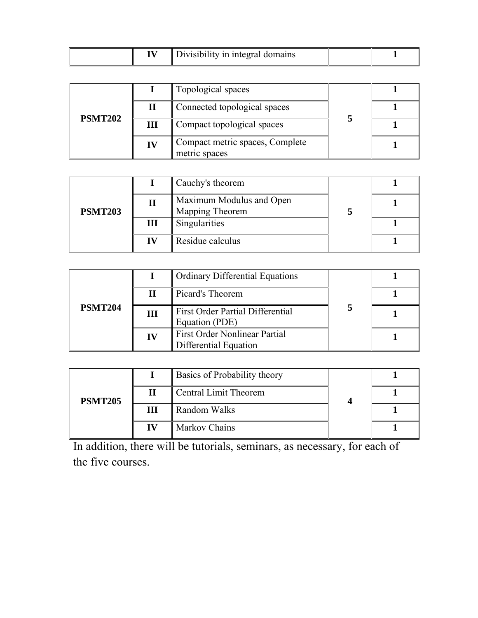| <b>PSMT202</b> |    | Topological spaces                               |  |
|----------------|----|--------------------------------------------------|--|
|                |    | Connected topological spaces                     |  |
|                | Ш  | Compact topological spaces                       |  |
|                | IV | Compact metric spaces, Complete<br>metric spaces |  |

| <b>PSMT203</b> |    | Cauchy's theorem                            |  |
|----------------|----|---------------------------------------------|--|
|                |    | Maximum Modulus and Open<br>Mapping Theorem |  |
|                | Ш  | Singularities                               |  |
|                | IV | Residue calculus                            |  |

| <b>PSMT204</b> |    | <b>Ordinary Differential Equations</b>                        |  |
|----------------|----|---------------------------------------------------------------|--|
|                |    | Picard's Theorem                                              |  |
|                | Ш  | <b>First Order Partial Differential</b><br>Equation (PDE)     |  |
|                | IV | <b>First Order Nonlinear Partial</b><br>Differential Equation |  |

| <b>PSMT205</b> |    | Basics of Probability theory |  |
|----------------|----|------------------------------|--|
|                |    | Central Limit Theorem        |  |
|                | Ш  | Random Walks                 |  |
|                | IV | <b>Markov Chains</b>         |  |

In addition, there will be tutorials, seminars, as necessary, for each of the five courses.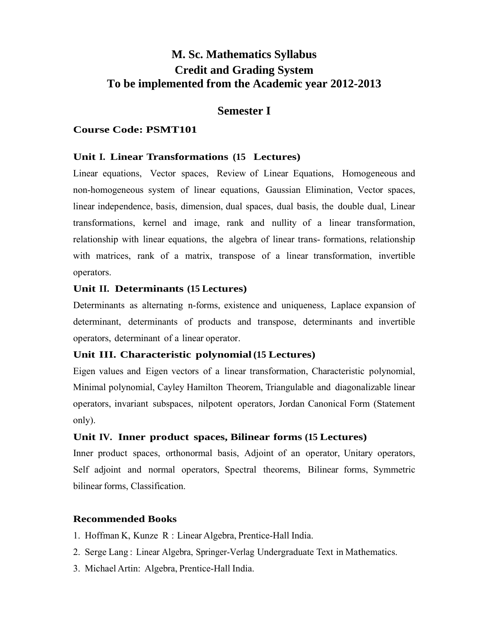# **M. Sc. Mathematics Syllabus Credit and Grading System To be implemented from the Academic year 2012-2013**

## **Semester I**

## **Course Code: PSMT101**

## **Unit I. Linear Transformations (15 Lectures)**

Linear equations, Vector spaces, Review of Linear Equations, Homogeneous and non-homogeneous system of linear equations, Gaussian Elimination, Vector spaces, linear independence, basis, dimension, dual spaces, dual basis, the double dual, Linear transformations, kernel and image, rank and nullity of a linear transformation, relationship with linear equations, the algebra of linear trans- formations, relationship with matrices, rank of a matrix, transpose of a linear transformation, invertible operators.

## **Unit II. Determinants (15 Lectures)**

Determinants as alternating n-forms, existence and uniqueness, Laplace expansion of determinant, determinants of products and transpose, determinants and invertible operators, determinant of a linear operator.

## **Unit III. Characteristic polynomial (15 Lectures)**

Eigen values and Eigen vectors of a linear transformation, Characteristic polynomial, Minimal polynomial, Cayley Hamilton Theorem, Triangulable and diagonalizable linear operators, invariant subspaces, nilpotent operators, Jordan Canonical Form (Statement only).

## **Unit IV. Inner product spaces, Bilinear forms (15 Lectures)**

Inner product spaces, orthonormal basis, Adjoint of an operator, Unitary operators, Self adjoint and normal operators, Spectral theorems, Bilinear forms, Symmetric bilinear forms, Classification.

- 1. Hoffman K, Kunze R : Linear Algebra, Prentice-Hall India.
- 2. Serge Lang : Linear Algebra, Springer-Verlag Undergraduate Text in Mathematics.
- 3. Michael Artin: Algebra, Prentice-Hall India.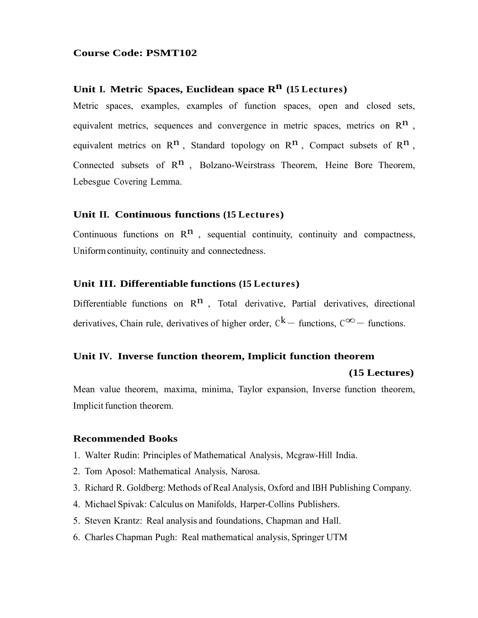## Unit I. Metric Spaces, Euclidean space R<sup>n</sup> (15 Lectures)

Metric spaces, examples, examples of function spaces, open and closed sets, equivalent metrics, sequences and convergence in metric spaces, metrics on  $\mathbb{R}^n$ , equivalent metrics on  $\mathbb{R}^n$ , Standard topology on  $\mathbb{R}^n$ . Compact subsets of  $\mathbb{R}^n$ . Connected subsets of  $\mathbb{R}^n$ , Bolzano-Weirstrass Theorem, Heine Bore Theorem, Lebesgue Covering Lemma.

## **Unit II. Continuous functions (15 Lectures)**

Continuous functions on  $\mathbb{R}^n$ , sequential continuity, continuity and compactness, Uniform continuity, continuity and connectedness.

## **Unit III. Differentiable functions (15 Lectures)**

Differentiable functions on  $\mathbb{R}^n$ , Total derivative, Partial derivatives, directional derivatives, Chain rule, derivatives of higher order,  $C^k$  − functions,  $C^{\infty}$  − functions.

## **Unit IV. Inverse function theorem, Implicit function theorem**

#### **(15 Lectures)**

Mean value theorem, maxima, minima, Taylor expansion, Inverse function theorem, Implicit function theorem.

- 1. Walter Rudin: Principles of Mathematical Analysis, Mcgraw-Hill India.
- 2. Tom Aposol: Mathematical Analysis, Narosa.
- 3. Richard R. Goldberg: Methods of Real Analysis, Oxford and IBH Publishing Company.
- 4. Michael Spivak: Calculus on Manifolds, Harper-Collins Publishers.
- 5. Steven Krantz: Real analysis and foundations, Chapman and Hall.
- 6. Charles Chapman Pugh: Real mathematical analysis, Springer UTM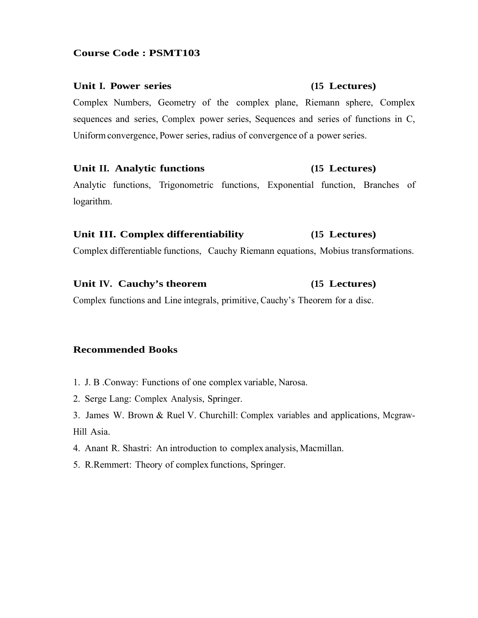### Unit I. Power series (15 Lectures)

Complex Numbers, Geometry of the complex plane, Riemann sphere, Complex sequences and series, Complex power series, Sequences and series of functions in C, Uniform convergence, Power series, radius of convergence of a power series.

## **Unit II. Analytic functions (15 Lectures)**

Analytic functions, Trigonometric functions, Exponential function, Branches of logarithm.

## **Unit III. Complex differentiability (15 Lectures)**

Complex differentiable functions, Cauchy Riemann equations, Mobius transformations.

### Unit IV. Cauchy's theorem (15 Lectures)

Complex functions and Line integrals, primitive, Cauchy's Theorem for a disc.

- 1. J. B .Conway: Functions of one complex variable, Narosa.
- 2. Serge Lang: Complex Analysis, Springer.
- 3. James W. Brown & Ruel V. Churchill: Complex variables and applications, Mcgraw-Hill Asia.
- 4. Anant R. Shastri: An introduction to complex analysis, Macmillan.
- 5. R.Remmert: Theory of complex functions, Springer.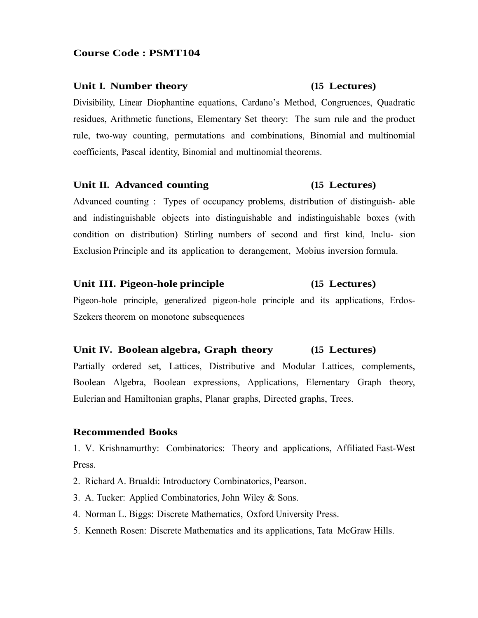#### **Unit I. Number theory (15 Lectures)**

Divisibility, Linear Diophantine equations, Cardano's Method, Congruences, Quadratic residues, Arithmetic functions, Elementary Set theory: The sum rule and the product rule, two-way counting, permutations and combinations, Binomial and multinomial coefficients, Pascal identity, Binomial and multinomial theorems.

#### **Unit II. Advanced counting (15 Lectures)**

Advanced counting : Types of occupancy problems, distribution of distinguish- able and indistinguishable objects into distinguishable and indistinguishable boxes (with condition on distribution) Stirling numbers of second and first kind, Inclu- sion Exclusion Principle and its application to derangement, Mobius inversion formula.

#### **Unit III. Pigeon-hole principle (15 Lectures)**

Pigeon-hole principle, generalized pigeon-hole principle and its applications, Erdos-Szekers theorem on monotone subsequences

## **Unit IV. Boolean algebra, Graph theory (15 Lectures)**

Partially ordered set, Lattices, Distributive and Modular Lattices, complements, Boolean Algebra, Boolean expressions, Applications, Elementary Graph theory, Eulerian and Hamiltonian graphs, Planar graphs, Directed graphs, Trees.

#### **Recommended Books**

1. V. Krishnamurthy: Combinatorics: Theory and applications, Affiliated East-West Press.

- 2. Richard A. Brualdi: Introductory Combinatorics, Pearson.
- 3. A. Tucker: Applied Combinatorics, John Wiley & Sons.
- 4. Norman L. Biggs: Discrete Mathematics, Oxford University Press.
- 5. Kenneth Rosen: Discrete Mathematics and its applications, Tata McGraw Hills.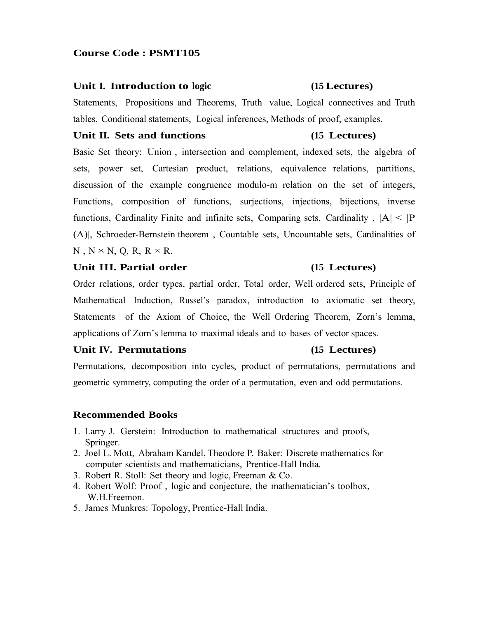#### **Unit I. Introduction to logic (15 Lectures)**

Statements, Propositions and Theorems, Truth value, Logical connectives and Truth tables, Conditional statements, Logical inferences, Methods of proof, examples.

#### **Unit II. Sets and functions (15 Lectures)**

Basic Set theory: Union , intersection and complement, indexed sets, the algebra of sets, power set, Cartesian product, relations, equivalence relations, partitions, discussion of the example congruence modulo-m relation on the set of integers, Functions, composition of functions, surjections, injections, bijections, inverse functions, Cardinality Finite and infinite sets, Comparing sets, Cardinality ,  $|A| < |P|$ (A)|, Schroeder-Bernstein theorem , Countable sets, Uncountable sets, Cardinalities of  $N, N \times N, Q, R, R \times R$ .

## **Unit III. Partial order (15 Lectures)**

Order relations, order types, partial order, Total order, Well ordered sets, Principle of Mathematical Induction, Russel's paradox, introduction to axiomatic set theory, Statements of the Axiom of Choice, the Well Ordering Theorem, Zorn's lemma, applications of Zorn's lemma to maximal ideals and to bases of vector spaces.

## Unit IV. Permutations (15 Lectures)

Permutations, decomposition into cycles, product of permutations, permutations and geometric symmetry, computing the order of a permutation, even and odd permutations.

- 1. Larry J. Gerstein: Introduction to mathematical structures and proofs, Springer.
- 2. Joel L. Mott, Abraham Kandel, Theodore P. Baker: Discrete mathematics for computer scientists and mathematicians, Prentice-Hall India.
- 3. Robert R. Stoll: Set theory and logic, Freeman & Co.
- 4. Robert Wolf: Proof , logic and conjecture, the mathematician's toolbox, W.H.Freemon.
- 5. James Munkres: Topology, Prentice-Hall India.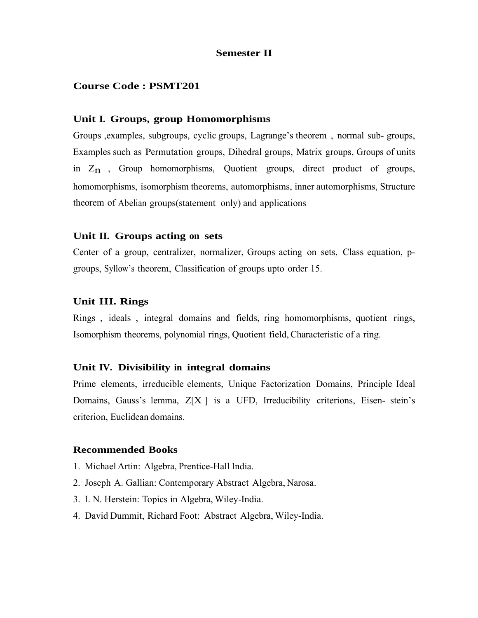## **Semester II**

## **Course Code : PSMT201**

#### **Unit I. Groups, group Homomorphisms**

Groups ,examples, subgroups, cyclic groups, Lagrange's theorem , normal sub- groups, Examples such as Permutation groups, Dihedral groups, Matrix groups, Groups of units in  $Z_n$ , Group homomorphisms, Quotient groups, direct product of groups, homomorphisms, isomorphism theorems, automorphisms, inner automorphisms, Structure theorem of Abelian groups(statement only) and applications

#### **Unit II. Groups acting on sets**

Center of a group, centralizer, normalizer, Groups acting on sets, Class equation, pgroups, Syllow's theorem, Classification of groups upto order 15.

#### **Unit III. Rings**

Rings , ideals , integral domains and fields, ring homomorphisms, quotient rings, Isomorphism theorems, polynomial rings, Quotient field, Characteristic of a ring.

#### **Unit IV. Divisibility in integral domains**

Prime elements, irreducible elements, Unique Factorization Domains, Principle Ideal Domains, Gauss's lemma,  $Z[X]$  is a UFD, Irreducibility criterions, Eisen- stein's criterion, Euclidean domains.

- 1. Michael Artin: Algebra, Prentice-Hall India.
- 2. Joseph A. Gallian: Contemporary Abstract Algebra, Narosa.
- 3. I. N. Herstein: Topics in Algebra, Wiley-India.
- 4. David Dummit, Richard Foot: Abstract Algebra, Wiley-India.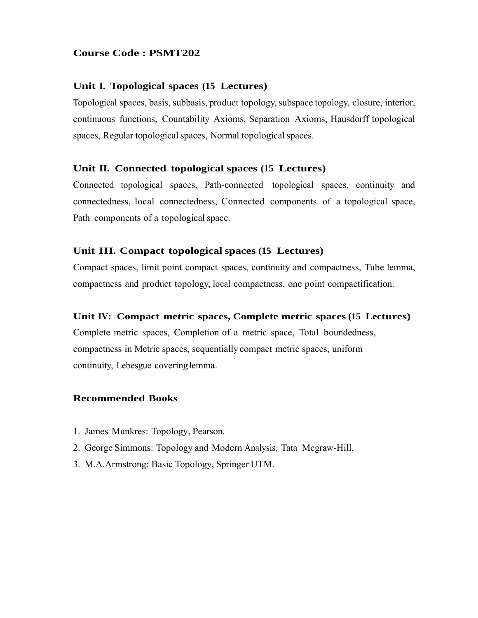### **Unit I. Topological spaces (15 Lectures)**

Topological spaces, basis, subbasis, product topology, subspace topology, closure, interior, continuous functions, Countability Axioms, Separation Axioms, Hausdorff topological spaces, Regular topological spaces, Normal topological spaces.

### **Unit II. Connected topological spaces (15 Lectures)**

Connected topological spaces, Path-connected topological spaces, continuity and connectedness, local connectedness, Connected components of a topological space, Path components of a topological space.

### **Unit III. Compact topological spaces (15 Lectures)**

Compact spaces, limit point compact spaces, continuity and compactness, Tube lemma, compactness and product topology, local compactness, one point compactification.

#### **Unit IV: Compact metric spaces, Complete metric spaces (15 Lectures)**

Complete metric spaces, Completion of a metric space, Total boundedness, compactness in Metric spaces, sequentially compact metric spaces, uniform continuity, Lebesgue covering lemma.

- 1. James Munkres: Topology, Pearson.
- 2. George Simmons: Topology and Modern Analysis, Tata Mcgraw-Hill.
- 3. M.A.Armstrong: Basic Topology, Springer UTM.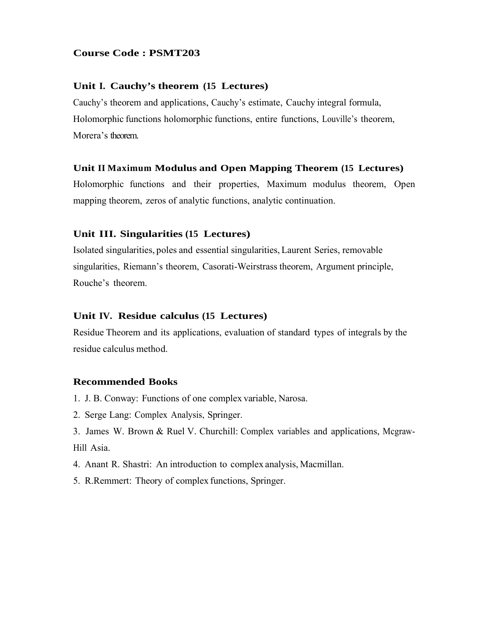## **Unit I. Cauchy's theorem (15 Lectures)**

Cauchy's theorem and applications, Cauchy's estimate, Cauchy integral formula, Holomorphic functions holomorphic functions, entire functions, Louville's theorem, Morera's theorem.

## **Unit II Maximum Modulus and Open Mapping Theorem (15 Lectures)**

Holomorphic functions and their properties, Maximum modulus theorem, Open mapping theorem, zeros of analytic functions, analytic continuation.

### **Unit III. Singularities (15 Lectures)**

Isolated singularities, poles and essential singularities, Laurent Series, removable singularities, Riemann's theorem, Casorati-Weirstrass theorem, Argument principle, Rouche's theorem.

#### **Unit IV. Residue calculus (15 Lectures)**

Residue Theorem and its applications, evaluation of standard types of integrals by the residue calculus method.

- 1. J. B. Conway: Functions of one complex variable, Narosa.
- 2. Serge Lang: Complex Analysis, Springer.
- 3. James W. Brown & Ruel V. Churchill: Complex variables and applications, Mcgraw-Hill Asia.
- 4. Anant R. Shastri: An introduction to complex analysis, Macmillan.
- 5. R.Remmert: Theory of complex functions, Springer.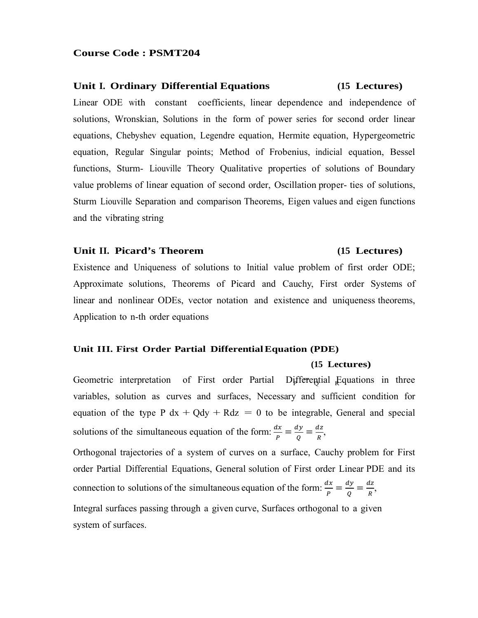#### **Unit I. Ordinary Differential Equations (15 Lectures)**

Linear ODE with constant coefficients, linear dependence and independence of solutions, Wronskian, Solutions in the form of power series for second order linear equations, Chebyshev equation, Legendre equation, Hermite equation, Hypergeometric equation, Regular Singular points; Method of Frobenius, indicial equation, Bessel functions, Sturm- Liouville Theory Qualitative properties of solutions of Boundary value problems of linear equation of second order, Oscillation proper- ties of solutions, Sturm Liouville Separation and comparison Theorems, Eigen values and eigen functions and the vibrating string

## Unit II. Picard's Theorem (15 Lectures)

Existence and Uniqueness of solutions to Initial value problem of first order ODE; Approximate solutions, Theorems of Picard and Cauchy, First order Systems of linear and nonlinear ODEs, vector notation and existence and uniqueness theorems, Application to n-th order equations

#### **Unit III. First Order Partial Differential Equation (PDE)**

#### **(15 Lectures)**

Geometric interpretation of First order Partial Differential Equations in three variables, solution as curves and surfaces, Necessary and sufficient condition for equation of the type P  $dx + Qdy + Rdz = 0$  to be integrable, General and special solutions of the simultaneous equation of the form:  $\frac{dx}{p} = \frac{dy}{Q} = \frac{dz}{R}$ ,

Orthogonal trajectories of a system of curves on a surface, Cauchy problem for First order Partial Differential Equations, General solution of First order Linear PDE and its connection to solutions of the simultaneous equation of the form:  $\frac{dx}{P} = \frac{dy}{Q} = \frac{dz}{R}$ , Integral surfaces passing through a given curve, Surfaces orthogonal to a given system of surfaces.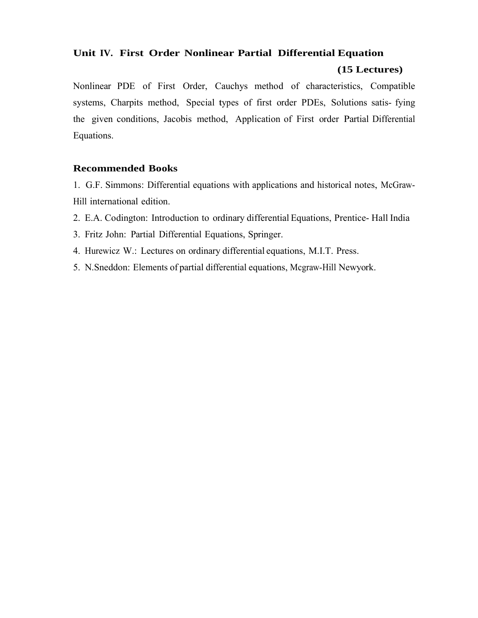## **Unit IV. First Order Nonlinear Partial Differential Equation**

## **(15 Lectures)**

Nonlinear PDE of First Order, Cauchys method of characteristics, Compatible systems, Charpits method, Special types of first order PDEs, Solutions satis- fying the given conditions, Jacobis method, Application of First order Partial Differential Equations.

## **Recommended Books**

1. G.F. Simmons: Differential equations with applications and historical notes, McGraw-Hill international edition.

- 2. E.A. Codington: Introduction to ordinary differential Equations, Prentice- Hall India
- 3. Fritz John: Partial Differential Equations, Springer.
- 4. Hurewicz W.: Lectures on ordinary differential equations, M.I.T. Press.
- 5. N.Sneddon: Elements of partial differential equations, Mcgraw-Hill Newyork.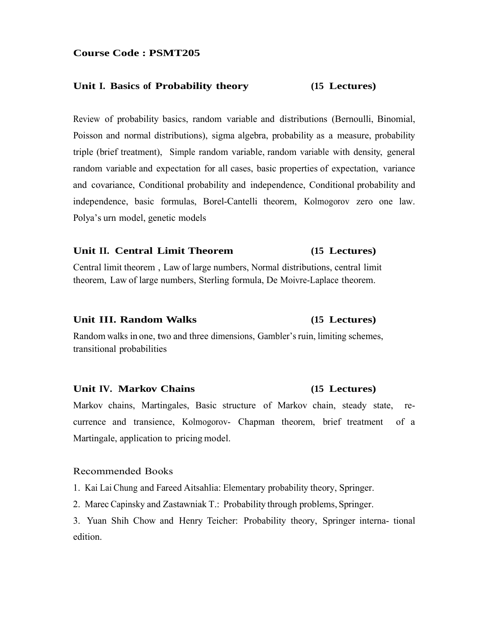#### **Unit I. Basics of Probability theory (15 Lectures)**

Review of probability basics, random variable and distributions (Bernoulli, Binomial, Poisson and normal distributions), sigma algebra, probability as a measure, probability triple (brief treatment), Simple random variable, random variable with density, general random variable and expectation for all cases, basic properties of expectation, variance and covariance, Conditional probability and independence, Conditional probability and independence, basic formulas, Borel-Cantelli theorem, Kolmogorov zero one law. Polya's urn model, genetic models

## **Unit II. Central Limit Theorem (15 Lectures)**

Central limit theorem , Law of large numbers, Normal distributions, central limit theorem, Law of large numbers, Sterling formula, De Moivre-Laplace theorem.

#### **Unit III. Random Walks (15 Lectures)**

Random walks in one, two and three dimensions, Gambler's ruin, limiting schemes, transitional probabilities

#### **Unit IV. Markov Chains (15 Lectures)**

Markov chains, Martingales, Basic structure of Markov chain, steady state, recurrence and transience, Kolmogorov- Chapman theorem, brief treatment of a Martingale, application to pricing model.

#### Recommended Books

1. Kai Lai Chung and Fareed Aitsahlia: Elementary probability theory, Springer.

2. Marec Capinsky and Zastawniak T.: Probability through problems, Springer.

3. Yuan Shih Chow and Henry Teicher: Probability theory, Springer interna- tional edition.